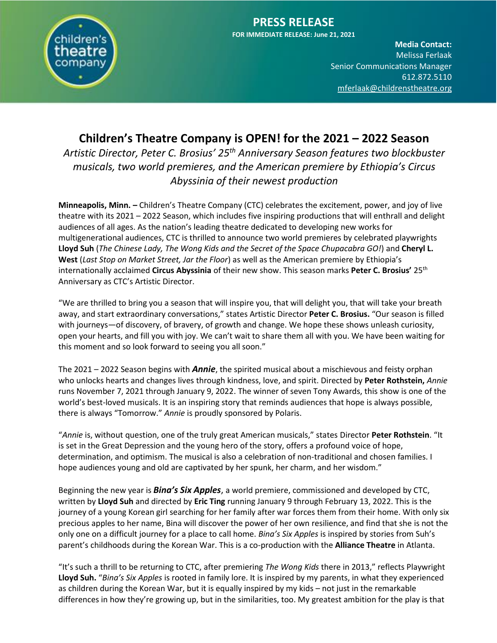

**PRESS RELEASE FOR IMMEDIATE RELEASE: June 21, 2021**

> **Media Contact:**  Melissa Ferlaak Senior Communications Manager 612.872.5110 [mferlaak@childrenstheatre.org](mailto:mferlaak@childrenstheatre.org)

# **Children's Theatre Company is OPEN! for the 2021 – 2022 Season**

*Artistic Director, Peter C. Brosius' 25th Anniversary Season features two blockbuster musicals, two world premieres, and the American premiere by Ethiopia's Circus Abyssinia of their newest production*

**Minneapolis, Minn. –** Children's Theatre Company (CTC) celebrates the excitement, power, and joy of live theatre with its 2021 – 2022 Season, which includes five inspiring productions that will enthrall and delight audiences of all ages. As the nation's leading theatre dedicated to developing new works for multigenerational audiences, CTC is thrilled to announce two world premieres by celebrated playwrights **Lloyd Suh** (*The Chinese Lady, The Wong Kids and the Secret of the Space Chupacabra GO!*) and **Cheryl L. West** (*Last Stop on Market Street, Jar the Floor*) as well as the American premiere by Ethiopia's internationally acclaimed **Circus Abyssinia** of their new show. This season marks **Peter C. Brosius'** 25th Anniversary as CTC's Artistic Director.

"We are thrilled to bring you a season that will inspire you, that will delight you, that will take your breath away, and start extraordinary conversations," states Artistic Director **Peter C. Brosius.** "Our season is filled with journeys—of discovery, of bravery, of growth and change. We hope these shows unleash curiosity, open your hearts, and fill you with joy. We can't wait to share them all with you. We have been waiting for this moment and so look forward to seeing you all soon."

The 2021 – 2022 Season begins with *Annie*, the spirited musical about a mischievous and feisty orphan who unlocks hearts and changes lives through kindness, love, and spirit. Directed by **Peter Rothstein,** *Annie* runs November 7, 2021 through January 9, 2022. The winner of seven Tony Awards, this show is one of the world's best-loved musicals. It is an inspiring story that reminds audiences that hope is always possible, there is always "Tomorrow." *Annie* is proudly sponsored by Polaris.

"*Annie* is, without question, one of the truly great American musicals," states Director **Peter Rothstein**. "It is set in the Great Depression and the young hero of the story, offers a profound voice of hope, determination, and optimism. The musical is also a celebration of non-traditional and chosen families. I hope audiences young and old are captivated by her spunk, her charm, and her wisdom."

Beginning the new year is *Bina's Six Apples*, a world premiere, commissioned and developed by CTC, written by **Lloyd Suh** and directed by **Eric Ting** running January 9 through February 13, 2022. This is the journey of a young Korean girl searching for her family after war forces them from their home. With only six precious apples to her name, Bina will discover the power of her own resilience, and find that she is not the only one on a difficult journey for a place to call home. *Bina's Six Apples* is inspired by stories from Suh's parent's childhoods during the Korean War. This is a co-production with the **Alliance Theatre** in Atlanta.

"It's such a thrill to be returning to CTC, after premiering *The Wong Kids* there in 2013," reflects Playwright **Lloyd Suh.** "*Bina's Six Apples* is rooted in family lore. It is inspired by my parents, in what they experienced as children during the Korean War, but it is equally inspired by my kids – not just in the remarkable differences in how they're growing up, but in the similarities, too. My greatest ambition for the play is that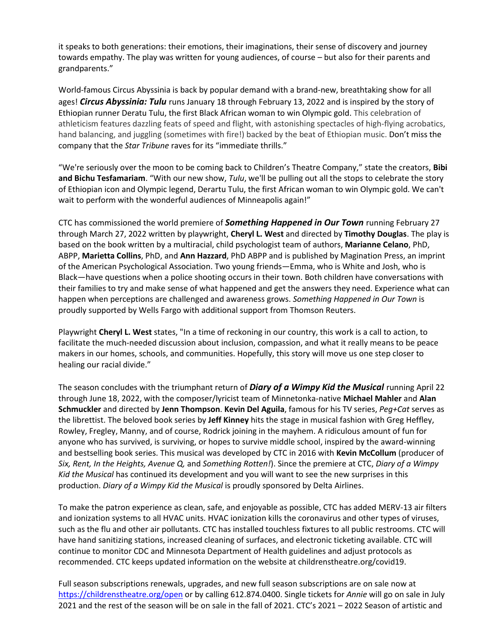it speaks to both generations: their emotions, their imaginations, their sense of discovery and journey towards empathy. The play was written for young audiences, of course – but also for their parents and grandparents."

World-famous Circus Abyssinia is back by popular demand with a brand-new, breathtaking show for all ages! *Circus Abyssinia: Tulu* runs January 18 through February 13, 2022 and is inspired by the story of Ethiopian runner Deratu Tulu, the first Black African woman to win Olympic gold. This celebration of athleticism features dazzling feats of speed and flight, with astonishing spectacles of high-flying acrobatics, hand balancing, and juggling (sometimes with fire!) backed by the beat of Ethiopian music. Don't miss the company that the *Star Tribune* raves for its "immediate thrills."

"We're seriously over the moon to be coming back to Children's Theatre Company," state the creators, **Bibi and Bichu Tesfamariam**. "With our new show, *Tulu*, we'll be pulling out all the stops to celebrate the story of Ethiopian icon and Olympic legend, Derartu Tulu, the first African woman to win Olympic gold. We can't wait to perform with the wonderful audiences of Minneapolis again!"

CTC has commissioned the world premiere of *Something Happened in Our Town* running February 27 through March 27, 2022 written by playwright, **Cheryl L. West** and directed by **Timothy Douglas**. The play is based on the book written by a multiracial, child psychologist team of authors, **Marianne Celano**, PhD, ABPP, **Marietta Collins**, PhD, and **Ann Hazzard**, PhD ABPP and is published by Magination Press, an imprint of the American Psychological Association. Two young friends—Emma, who is White and Josh, who is Black—have questions when a police shooting occurs in their town. Both children have conversations with their families to try and make sense of what happened and get the answers they need. Experience what can happen when perceptions are challenged and awareness grows. *Something Happened in Our Town* is proudly supported by Wells Fargo with additional support from Thomson Reuters.

Playwright **Cheryl L. West** states, "In a time of reckoning in our country, this work is a call to action, to facilitate the much-needed discussion about inclusion, compassion, and what it really means to be peace makers in our homes, schools, and communities. Hopefully, this story will move us one step closer to healing our racial divide."

The season concludes with the triumphant return of *Diary of a Wimpy Kid the Musical* running April 22 through June 18, 2022, with the composer/lyricist team of Minnetonka-native **Michael Mahler** and **Alan Schmuckler** and directed by **Jenn Thompson**. **Kevin Del Aguila**, famous for his TV series, *Peg+Cat* serves as the librettist. The beloved book series by **Jeff Kinney** hits the stage in musical fashion with Greg Heffley, Rowley, Fregley, Manny, and of course, Rodrick joining in the mayhem. A ridiculous amount of fun for anyone who has survived, is surviving, or hopes to survive middle school, inspired by the award-winning and bestselling book series. This musical was developed by CTC in 2016 with **Kevin McCollum** (producer of *Six, Rent, In the Heights, Avenue Q,* and *Something Rotten!*). Since the premiere at CTC, *Diary of a Wimpy Kid the Musical* has continued its development and you will want to see the new surprises in this production. *Diary of a Wimpy Kid the Musical* is proudly sponsored by Delta Airlines.

To make the patron experience as clean, safe, and enjoyable as possible, CTC has added MERV-13 air filters and ionization systems to all HVAC units. HVAC ionization kills the coronavirus and other types of viruses, such as the flu and other air pollutants. CTC has installed touchless fixtures to all public restrooms. CTC will have hand sanitizing stations, increased cleaning of surfaces, and electronic ticketing available. CTC will continue to monitor CDC and Minnesota Department of Health guidelines and adjust protocols as recommended. CTC keeps updated information on the website at childrenstheatre.org/covid19.

Full season subscriptions renewals, upgrades, and new full season subscriptions are on sale now at <https://childrenstheatre.org/>open or by calling 612.874.0400. Single tickets for *Annie* will go on sale in July 2021 and the rest of the season will be on sale in the fall of 2021. CTC's 2021 – 2022 Season of artistic and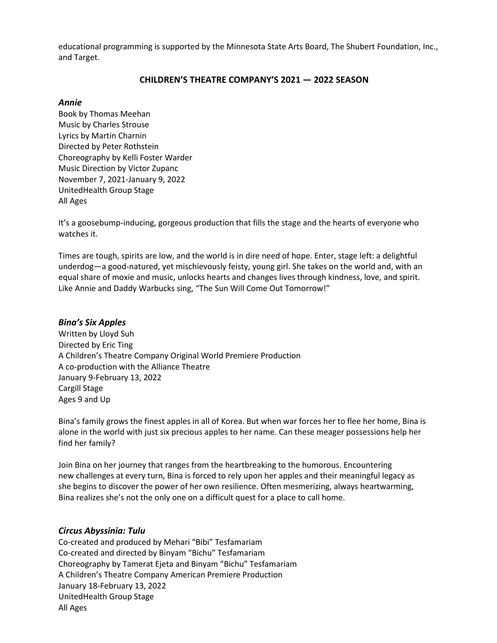educational programming is supported by the Minnesota State Arts Board, The Shubert Foundation, Inc., and Target.

#### **CHILDREN'S THEATRE COMPANY'S 2021 — 2022 SEASON**

#### *Annie*

Book by Thomas Meehan Music by Charles Strouse Lyrics by Martin Charnin Directed by Peter Rothstein Choreography by Kelli Foster Warder Music Direction by Victor Zupanc November 7, 2021-January 9, 2022 UnitedHealth Group Stage All Ages

It's a goosebump-inducing, gorgeous production that fills the stage and the hearts of everyone who watches it.

Times are tough, spirits are low, and the world is in dire need of hope. Enter, stage left: a delightful underdog—a good-natured, yet mischievously feisty, young girl. She takes on the world and, with an equal share of moxie and music, unlocks hearts and changes lives through kindness, love, and spirit. Like Annie and Daddy Warbucks sing, "The Sun Will Come Out Tomorrow!"

#### *Bina's Six Apples*

Written by Lloyd Suh Directed by Eric Ting A Children's Theatre Company Original World Premiere Production A co-production with the Alliance Theatre January 9-February 13, 2022 Cargill Stage Ages 9 and Up

Bina's family grows the finest apples in all of Korea. But when war forces her to flee her home, Bina is alone in the world with just six precious apples to her name. Can these meager possessions help her find her family?

Join Bina on her journey that ranges from the heartbreaking to the humorous. Encountering new challenges at every turn, Bina is forced to rely upon her apples and their meaningful legacy as she begins to discover the power of her own resilience. Often mesmerizing, always heartwarming, Bina realizes she's not the only one on a difficult quest for a place to call home.

#### *Circus Abyssinia: Tulu*

Co-created and produced by Mehari "Bibi" Tesfamariam Co-created and directed by Binyam "Bichu" Tesfamariam Choreography by Tamerat Ejeta and Binyam "Bichu" Tesfamariam A Children's Theatre Company American Premiere Production January 18-February 13, 2022 UnitedHealth Group Stage All Ages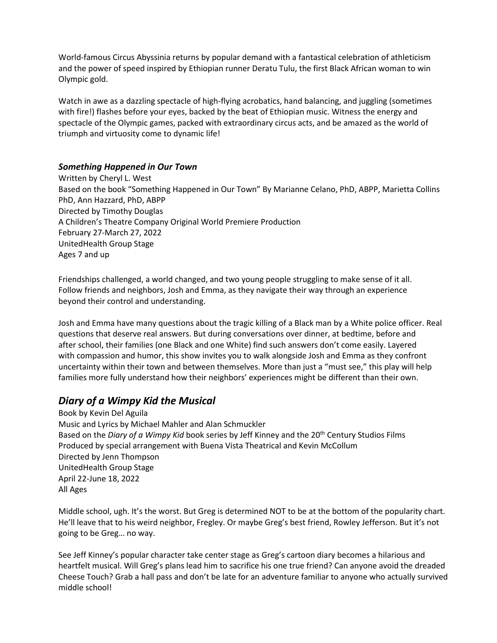World-famous Circus Abyssinia returns by popular demand with a fantastical celebration of athleticism and the power of speed inspired by Ethiopian runner Deratu Tulu, the first Black African woman to win Olympic gold.

Watch in awe as a dazzling spectacle of high-flying acrobatics, hand balancing, and juggling (sometimes with fire!) flashes before your eyes, backed by the beat of Ethiopian music. Witness the energy and spectacle of the Olympic games, packed with extraordinary circus acts, and be amazed as the world of triumph and virtuosity come to dynamic life!

### *Something Happened in Our Town*

Written by Cheryl L. West Based on the book "Something Happened in Our Town" By Marianne Celano, PhD, ABPP, Marietta Collins PhD, Ann Hazzard, PhD, ABPP Directed by Timothy Douglas A Children's Theatre Company Original World Premiere Production February 27-March 27, 2022 UnitedHealth Group Stage Ages 7 and up

Friendships challenged, a world changed, and two young people struggling to make sense of it all. Follow friends and neighbors, Josh and Emma, as they navigate their way through an experience beyond their control and understanding.

Josh and Emma have many questions about the tragic killing of a Black man by a White police officer. Real questions that deserve real answers. But during conversations over dinner, at bedtime, before and after school, their families (one Black and one White) find such answers don't come easily. Layered with compassion and humor, this show invites you to walk alongside Josh and Emma as they confront uncertainty within their town and between themselves. More than just a "must see," this play will help families more fully understand how their neighbors' experiences might be different than their own.

## *Diary of a Wimpy Kid the Musical*

Book by Kevin Del Aguila Music and Lyrics by Michael Mahler and Alan Schmuckler Based on the *Diary of a Wimpy Kid* book series by Jeff Kinney and the 20th Century Studios Films Produced by special arrangement with Buena Vista Theatrical and Kevin McCollum Directed by Jenn Thompson UnitedHealth Group Stage April 22-June 18, 2022 All Ages

Middle school, ugh. It's the worst. But Greg is determined NOT to be at the bottom of the popularity chart. He'll leave that to his weird neighbor, Fregley. Or maybe Greg's best friend, Rowley Jefferson. But it's not going to be Greg… no way.

See Jeff Kinney's popular character take center stage as Greg's cartoon diary becomes a hilarious and heartfelt musical. Will Greg's plans lead him to sacrifice his one true friend? Can anyone avoid the dreaded Cheese Touch? Grab a hall pass and don't be late for an adventure familiar to anyone who actually survived middle school!